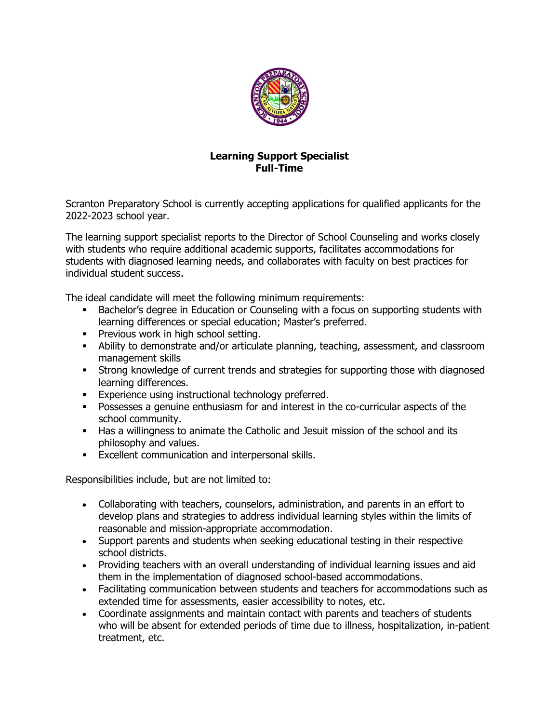

## **Learning Support Specialist Full-Time**

Scranton Preparatory School is currently accepting applications for qualified applicants for the 2022-2023 school year.

The learning support specialist reports to the Director of School Counseling and works closely with students who require additional academic supports, facilitates accommodations for students with diagnosed learning needs, and collaborates with faculty on best practices for individual student success.

The ideal candidate will meet the following minimum requirements:

- Bachelor's degree in Education or Counseling with a focus on supporting students with learning differences or special education; Master's preferred.
- **•** Previous work in high school setting.
- **EXEDENT** Ability to demonstrate and/or articulate planning, teaching, assessment, and classroom management skills
- **•** Strong knowledge of current trends and strategies for supporting those with diagnosed learning differences.
- **Experience using instructional technology preferred.**
- Possesses a genuine enthusiasm for and interest in the co-curricular aspects of the school community.
- **Has a willingness to animate the Catholic and Jesuit mission of the school and its** philosophy and values.
- **Excellent communication and interpersonal skills.**

Responsibilities include, but are not limited to:

- Collaborating with teachers, counselors, administration, and parents in an effort to develop plans and strategies to address individual learning styles within the limits of reasonable and mission-appropriate accommodation.
- Support parents and students when seeking educational testing in their respective school districts.
- Providing teachers with an overall understanding of individual learning issues and aid them in the implementation of diagnosed school-based accommodations.
- Facilitating communication between students and teachers for accommodations such as extended time for assessments, easier accessibility to notes, etc.
- Coordinate assignments and maintain contact with parents and teachers of students who will be absent for extended periods of time due to illness, hospitalization, in-patient treatment, etc.